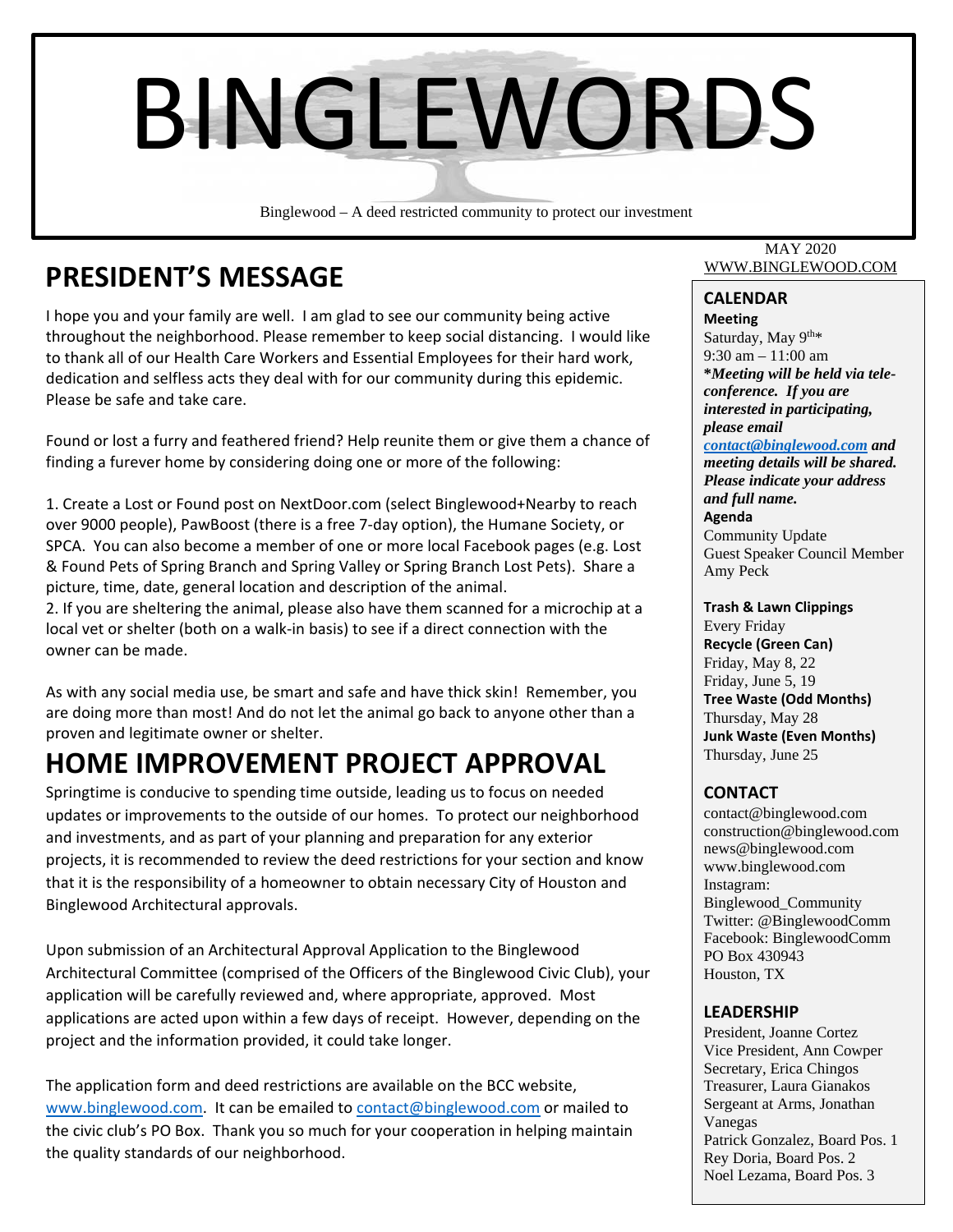

Binglewood – A deed restricted community to protect our investment

## **PRESIDENT'S MESSAGE**

I hope you and your family are well. I am glad to see our community being active throughout the neighborhood. Please remember to keep social distancing. I would like to thank all of our Health Care Workers and Essential Employees for their hard work, dedication and selfless acts they deal with for our community during this epidemic. Please be safe and take care.

Found or lost a furry and feathered friend? Help reunite them or give them a chance of finding a furever home by considering doing one or more of the following:

1. Create a Lost or Found post on NextDoor.com (select Binglewood+Nearby to reach over 9000 people), PawBoost (there is a free 7‐day option), the Humane Society, or SPCA. You can also become a member of one or more local Facebook pages (e.g. Lost & Found Pets of Spring Branch and Spring Valley or Spring Branch Lost Pets). Share a picture, time, date, general location and description of the animal.

2. If you are sheltering the animal, please also have them scanned for a microchip at a local vet or shelter (both on a walk‐in basis) to see if a direct connection with the owner can be made.

As with any social media use, be smart and safe and have thick skin! Remember, you are doing more than most! And do not let the animal go back to anyone other than a proven and legitimate owner or shelter.

## **HOME IMPROVEMENT PROJECT APPROVAL**

Springtime is conducive to spending time outside, leading us to focus on needed updates or improvements to the outside of our homes. To protect our neighborhood and investments, and as part of your planning and preparation for any exterior projects, it is recommended to review the deed restrictions for your section and know that it is the responsibility of a homeowner to obtain necessary City of Houston and Binglewood Architectural approvals.

Upon submission of an Architectural Approval Application to the Binglewood Architectural Committee (comprised of the Officers of the Binglewood Civic Club), your application will be carefully reviewed and, where appropriate, approved. Most applications are acted upon within a few days of receipt. However, depending on the project and the information provided, it could take longer.

The application form and deed restrictions are available on the BCC website, www.binglewood.com. It can be emailed to contact@binglewood.com or mailed to the civic club's PO Box. Thank you so much for your cooperation in helping maintain the quality standards of our neighborhood.

#### MAY 2020 WWW.BINGLEWOOD.COM

### **CALENDAR**

**Meeting** Saturday, May  $9^{th*}$ 9:30 am – 11:00 am **\****Meeting will be held via teleconference. If you are interested in participating, please email* 

*contact@binglewood.com and meeting details will be shared. Please indicate your address and full name.* **Agenda** Community Update Guest Speaker Council Member Amy Peck

#### **Trash & Lawn Clippings**

Every Friday **Recycle (Green Can)** Friday, May 8, 22 Friday, June 5, 19 **Tree Waste (Odd Months)** Thursday, May 28 **Junk Waste (Even Months)** Thursday, June 25

#### **CONTACT**

contact@binglewood.com construction@binglewood.com news@binglewood.com www.binglewood.com Instagram: Binglewood\_Community Twitter: @BinglewoodComm Facebook: BinglewoodComm PO Box 430943 Houston, TX

#### **LEADERSHIP**

Vanegas and the Vanegas of the Vanegas of the Vanegas of the Vanegas of the Vanegas of the Vanegas of the Vanegas of the Vanegas of the Vanegas of the Vanegas of the Vanegas of the Vanegas of the Vanegas of the Vanegas of President, Joanne Cortez Vice President, Ann Cowper Secretary, Erica Chingos Treasurer, Laura Gianakos Sergeant at Arms, Jonathan Patrick Gonzalez, Board Pos. 1 Rey Doria, Board Pos. 2 Noel Lezama, Board Pos. 3